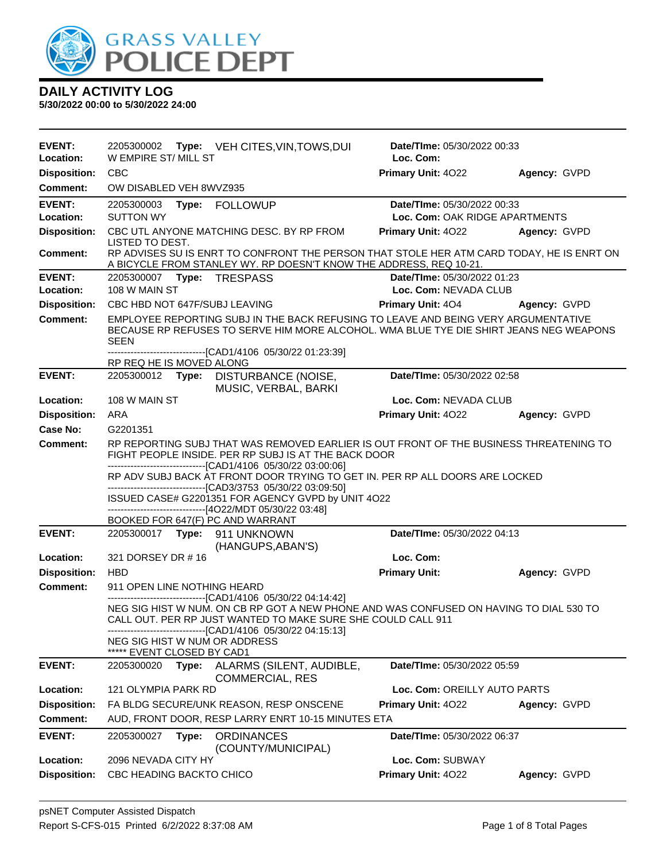

| <b>EVENT:</b><br>Location: | 2205300002 Type: VEH CITES, VIN, TOWS, DUI<br>W EMPIRE ST/ MILL ST                                                                                                                                                     | Date/TIme: 05/30/2022 00:33<br>Loc. Com: |              |
|----------------------------|------------------------------------------------------------------------------------------------------------------------------------------------------------------------------------------------------------------------|------------------------------------------|--------------|
| <b>Disposition:</b>        | CBC                                                                                                                                                                                                                    | Primary Unit: 4022                       | Agency: GVPD |
| <b>Comment:</b>            | OW DISABLED VEH 8WVZ935                                                                                                                                                                                                |                                          |              |
| <b>EVENT:</b>              | 2205300003 Type: FOLLOWUP                                                                                                                                                                                              | Date/TIme: 05/30/2022 00:33              |              |
| Location:                  | <b>SUTTON WY</b>                                                                                                                                                                                                       | Loc. Com: OAK RIDGE APARTMENTS           |              |
| <b>Disposition:</b>        | CBC UTL ANYONE MATCHING DESC. BY RP FROM<br>LISTED TO DEST.                                                                                                                                                            | Primary Unit: 4022                       | Agency: GVPD |
| <b>Comment:</b>            | RP ADVISES SU IS ENRT TO CONFRONT THE PERSON THAT STOLE HER ATM CARD TODAY, HE IS ENRT ON<br>A BICYCLE FROM STANLEY WY. RP DOESN'T KNOW THE ADDRESS, REQ 10-21.                                                        |                                          |              |
| <b>EVENT:</b>              | 2205300007    Type: TRESPASS                                                                                                                                                                                           | Date/TIme: 05/30/2022 01:23              |              |
| Location:                  | 108 W MAIN ST                                                                                                                                                                                                          | Loc. Com: NEVADA CLUB                    |              |
| <b>Disposition:</b>        | CBC HBD NOT 647F/SUBJ LEAVING                                                                                                                                                                                          | <b>Primary Unit: 404</b>                 | Agency: GVPD |
| <b>Comment:</b>            | EMPLOYEE REPORTING SUBJ IN THE BACK REFUSING TO LEAVE AND BEING VERY ARGUMENTATIVE<br>BECAUSE RP REFUSES TO SERVE HIM MORE ALCOHOL. WMA BLUE TYE DIE SHIRT JEANS NEG WEAPONS<br>SEEN                                   |                                          |              |
|                            | -------------------------------[CAD1/4106 05/30/22 01:23:39]<br>RP REQ HE IS MOVED ALONG                                                                                                                               |                                          |              |
| <b>EVENT:</b>              | 2205300012 Type: DISTURBANCE (NOISE,<br>MUSIC, VERBAL, BARKI                                                                                                                                                           | Date/TIme: 05/30/2022 02:58              |              |
| Location:                  | 108 W MAIN ST                                                                                                                                                                                                          | Loc. Com: NEVADA CLUB                    |              |
| <b>Disposition:</b>        | ARA                                                                                                                                                                                                                    | Primary Unit: 4022                       | Agency: GVPD |
| <b>Case No:</b>            | G2201351                                                                                                                                                                                                               |                                          |              |
| Comment:                   | RP REPORTING SUBJ THAT WAS REMOVED EARLIER IS OUT FRONT OF THE BUSINESS THREATENING TO<br>FIGHT PEOPLE INSIDE. PER RP SUBJ IS AT THE BACK DOOR                                                                         |                                          |              |
|                            | -------------------------------[CAD1/4106 05/30/22 03:00:06]<br>RP ADV SUBJ BACK AT FRONT DOOR TRYING TO GET IN. PER RP ALL DOORS ARE LOCKED                                                                           |                                          |              |
|                            | -------------------------------[CAD3/3753 05/30/22 03:09:50]                                                                                                                                                           |                                          |              |
|                            | ISSUED CASE# G2201351 FOR AGENCY GVPD by UNIT 4O22<br>-------------------------------[4O22/MDT 05/30/22 03:48]                                                                                                         |                                          |              |
|                            | BOOKED FOR 647(F) PC AND WARRANT                                                                                                                                                                                       |                                          |              |
| <b>EVENT:</b>              | 2205300017 Type: 911 UNKNOWN<br>(HANGUPS, ABAN'S)                                                                                                                                                                      | Date/TIme: 05/30/2022 04:13              |              |
| Location:                  | 321 DORSEY DR #16                                                                                                                                                                                                      | Loc. Com:                                |              |
| <b>Disposition:</b>        | <b>HBD</b>                                                                                                                                                                                                             | <b>Primary Unit:</b>                     | Agency: GVPD |
| <b>Comment:</b>            | 911 OPEN LINE NOTHING HEARD                                                                                                                                                                                            |                                          |              |
|                            | -------------------------------[CAD1/4106 05/30/22 04:14:42]<br>NEG SIG HIST W NUM. ON CB RP GOT A NEW PHONE AND WAS CONFUSED ON HAVING TO DIAL 530 TO<br>CALL OUT. PER RP JUST WANTED TO MAKE SURE SHE COULD CALL 911 |                                          |              |
|                            | ------------------------------[CAD1/4106 05/30/22 04:15:13]<br>NEG SIG HIST W NUM OR ADDRESS                                                                                                                           |                                          |              |
| <b>EVENT:</b>              | ***** EVENT CLOSED BY CAD1<br>2205300020                                                                                                                                                                               | Date/TIme: 05/30/2022 05:59              |              |
|                            | ALARMS (SILENT, AUDIBLE,<br>Type:<br><b>COMMERCIAL, RES</b>                                                                                                                                                            |                                          |              |
| Location:                  | 121 OLYMPIA PARK RD                                                                                                                                                                                                    | Loc. Com: OREILLY AUTO PARTS             |              |
| <b>Disposition:</b>        | FA BLDG SECURE/UNK REASON, RESP ONSCENE                                                                                                                                                                                | Primary Unit: 4022                       | Agency: GVPD |
| <b>Comment:</b>            | AUD, FRONT DOOR, RESP LARRY ENRT 10-15 MINUTES ETA                                                                                                                                                                     |                                          |              |
| <b>EVENT:</b>              | 2205300027<br>Type:<br><b>ORDINANCES</b><br>(COUNTY/MUNICIPAL)                                                                                                                                                         | Date/TIme: 05/30/2022 06:37              |              |
| Location:                  | 2096 NEVADA CITY HY                                                                                                                                                                                                    | Loc. Com: SUBWAY                         |              |
| <b>Disposition:</b>        | CBC HEADING BACKTO CHICO                                                                                                                                                                                               | Primary Unit: 4022                       | Agency: GVPD |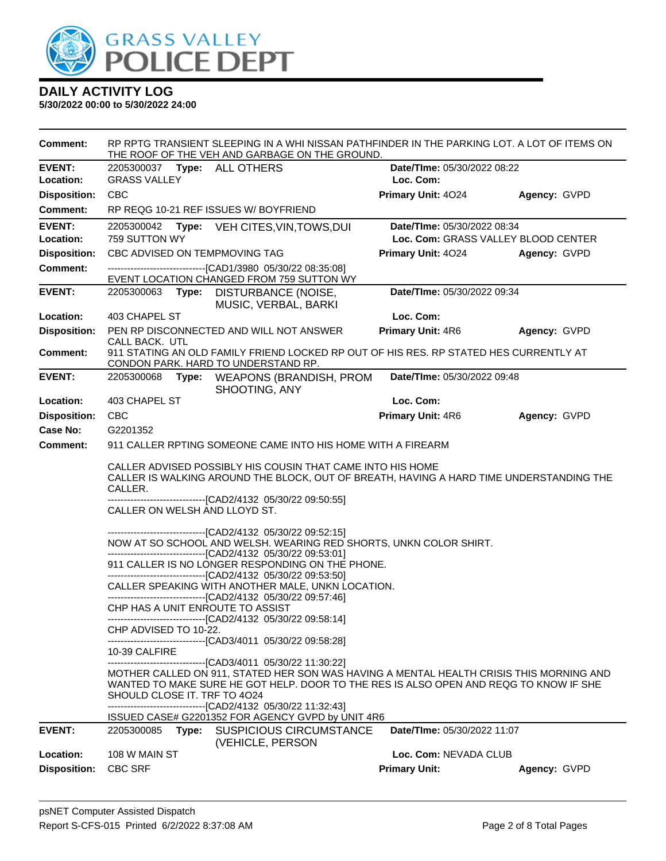

| <b>Comment:</b>     | RP RPTG TRANSIENT SLEEPING IN A WHI NISSAN PATHFINDER IN THE PARKING LOT. A LOT OF ITEMS ON<br>THE ROOF OF THE VEH AND GARBAGE ON THE GROUND. |       |                                                                                                                                                                                                                                                                                                                                                                                                                                                                                                                                                                                                                                                                                                                                                                                                                                                                                                                                                                                                                                                                                                                                                                                                                                                    |                                     |              |
|---------------------|-----------------------------------------------------------------------------------------------------------------------------------------------|-------|----------------------------------------------------------------------------------------------------------------------------------------------------------------------------------------------------------------------------------------------------------------------------------------------------------------------------------------------------------------------------------------------------------------------------------------------------------------------------------------------------------------------------------------------------------------------------------------------------------------------------------------------------------------------------------------------------------------------------------------------------------------------------------------------------------------------------------------------------------------------------------------------------------------------------------------------------------------------------------------------------------------------------------------------------------------------------------------------------------------------------------------------------------------------------------------------------------------------------------------------------|-------------------------------------|--------------|
| <b>EVENT:</b>       |                                                                                                                                               |       | 2205300037 Type: ALL OTHERS                                                                                                                                                                                                                                                                                                                                                                                                                                                                                                                                                                                                                                                                                                                                                                                                                                                                                                                                                                                                                                                                                                                                                                                                                        | Date/TIme: 05/30/2022 08:22         |              |
| Location:           | <b>GRASS VALLEY</b>                                                                                                                           |       |                                                                                                                                                                                                                                                                                                                                                                                                                                                                                                                                                                                                                                                                                                                                                                                                                                                                                                                                                                                                                                                                                                                                                                                                                                                    | Loc. Com:                           |              |
| <b>Disposition:</b> | <b>CBC</b>                                                                                                                                    |       |                                                                                                                                                                                                                                                                                                                                                                                                                                                                                                                                                                                                                                                                                                                                                                                                                                                                                                                                                                                                                                                                                                                                                                                                                                                    | Primary Unit: 4024                  | Agency: GVPD |
| Comment:            |                                                                                                                                               |       | RP REQG 10-21 REF ISSUES W/ BOYFRIEND                                                                                                                                                                                                                                                                                                                                                                                                                                                                                                                                                                                                                                                                                                                                                                                                                                                                                                                                                                                                                                                                                                                                                                                                              |                                     |              |
| <b>EVENT:</b>       | 2205300042                                                                                                                                    | Type: | VEH CITES, VIN, TOWS, DUI                                                                                                                                                                                                                                                                                                                                                                                                                                                                                                                                                                                                                                                                                                                                                                                                                                                                                                                                                                                                                                                                                                                                                                                                                          | Date/TIme: 05/30/2022 08:34         |              |
| Location:           | 759 SUTTON WY                                                                                                                                 |       |                                                                                                                                                                                                                                                                                                                                                                                                                                                                                                                                                                                                                                                                                                                                                                                                                                                                                                                                                                                                                                                                                                                                                                                                                                                    | Loc. Com: GRASS VALLEY BLOOD CENTER |              |
| <b>Disposition:</b> |                                                                                                                                               |       | CBC ADVISED ON TEMPMOVING TAG                                                                                                                                                                                                                                                                                                                                                                                                                                                                                                                                                                                                                                                                                                                                                                                                                                                                                                                                                                                                                                                                                                                                                                                                                      | <b>Primary Unit: 4024</b>           | Agency: GVPD |
| <b>Comment:</b>     |                                                                                                                                               |       | ---------------------------------[CAD1/3980 05/30/22 08:35:08]<br>EVENT LOCATION CHANGED FROM 759 SUTTON WY                                                                                                                                                                                                                                                                                                                                                                                                                                                                                                                                                                                                                                                                                                                                                                                                                                                                                                                                                                                                                                                                                                                                        |                                     |              |
| <b>EVENT:</b>       | 2205300063                                                                                                                                    | Type: | DISTURBANCE (NOISE,<br>MUSIC, VERBAL, BARKI                                                                                                                                                                                                                                                                                                                                                                                                                                                                                                                                                                                                                                                                                                                                                                                                                                                                                                                                                                                                                                                                                                                                                                                                        | Date/TIme: 05/30/2022 09:34         |              |
| Location:           | 403 CHAPEL ST                                                                                                                                 |       |                                                                                                                                                                                                                                                                                                                                                                                                                                                                                                                                                                                                                                                                                                                                                                                                                                                                                                                                                                                                                                                                                                                                                                                                                                                    | Loc. Com:                           |              |
| <b>Disposition:</b> | CALL BACK. UTL                                                                                                                                |       | PEN RP DISCONNECTED AND WILL NOT ANSWER                                                                                                                                                                                                                                                                                                                                                                                                                                                                                                                                                                                                                                                                                                                                                                                                                                                                                                                                                                                                                                                                                                                                                                                                            | <b>Primary Unit: 4R6</b>            | Agency: GVPD |
| Comment:            |                                                                                                                                               |       | 911 STATING AN OLD FAMILY FRIEND LOCKED RP OUT OF HIS RES. RP STATED HES CURRENTLY AT<br>CONDON PARK. HARD TO UNDERSTAND RP.                                                                                                                                                                                                                                                                                                                                                                                                                                                                                                                                                                                                                                                                                                                                                                                                                                                                                                                                                                                                                                                                                                                       |                                     |              |
| <b>EVENT:</b>       | 2205300068                                                                                                                                    | Type: | WEAPONS (BRANDISH, PROM<br>SHOOTING, ANY                                                                                                                                                                                                                                                                                                                                                                                                                                                                                                                                                                                                                                                                                                                                                                                                                                                                                                                                                                                                                                                                                                                                                                                                           | Date/TIme: 05/30/2022 09:48         |              |
| Location:           | 403 CHAPEL ST                                                                                                                                 |       |                                                                                                                                                                                                                                                                                                                                                                                                                                                                                                                                                                                                                                                                                                                                                                                                                                                                                                                                                                                                                                                                                                                                                                                                                                                    | Loc. Com:                           |              |
| <b>Disposition:</b> | <b>CBC</b>                                                                                                                                    |       |                                                                                                                                                                                                                                                                                                                                                                                                                                                                                                                                                                                                                                                                                                                                                                                                                                                                                                                                                                                                                                                                                                                                                                                                                                                    | Primary Unit: 4R6                   | Agency: GVPD |
| Case No:            | G2201352                                                                                                                                      |       |                                                                                                                                                                                                                                                                                                                                                                                                                                                                                                                                                                                                                                                                                                                                                                                                                                                                                                                                                                                                                                                                                                                                                                                                                                                    |                                     |              |
| Comment:            |                                                                                                                                               |       | 911 CALLER RPTING SOMEONE CAME INTO HIS HOME WITH A FIREARM                                                                                                                                                                                                                                                                                                                                                                                                                                                                                                                                                                                                                                                                                                                                                                                                                                                                                                                                                                                                                                                                                                                                                                                        |                                     |              |
|                     | CALLER.<br>CHP ADVISED TO 10-22.<br>10-39 CALFIRE<br>SHOULD CLOSE IT. TRF TO 4024                                                             |       | CALLER ADVISED POSSIBLY HIS COUSIN THAT CAME INTO HIS HOME<br>CALLER IS WALKING AROUND THE BLOCK, OUT OF BREATH, HAVING A HARD TIME UNDERSTANDING THE<br>-------------------------------[CAD2/4132 05/30/22 09:50:55]<br>CALLER ON WELSH AND LLOYD ST.<br>--------------------------------[CAD2/4132 05/30/22 09:52:15]<br>NOW AT SO SCHOOL AND WELSH. WEARING RED SHORTS, UNKN COLOR SHIRT.<br>--------------------------------[CAD2/4132 05/30/22 09:53:01]<br>911 CALLER IS NO LONGER RESPONDING ON THE PHONE.<br>-------------------------------[CAD2/4132 05/30/22 09:53:50]<br>CALLER SPEAKING WITH ANOTHER MALE, UNKN LOCATION.<br>-------------------------------[CAD2/4132 05/30/22 09:57:46]<br>CHP HAS A UNIT ENROUTE TO ASSIST<br>------------------------------[CAD2/4132 05/30/22 09:58:14]<br>----------------------------[CAD3/4011   05/30/22 09:58:28]<br>--------------------------------[CAD3/4011 05/30/22 11:30:22]<br>MOTHER CALLED ON 911, STATED HER SON WAS HAVING A MENTAL HEALTH CRISIS THIS MORNING AND<br>WANTED TO MAKE SURE HE GOT HELP. DOOR TO THE RES IS ALSO OPEN AND REQG TO KNOW IF SHE<br>-------------------------------[CAD2/4132 05/30/22 11:32:43]<br>ISSUED CASE# G2201352 FOR AGENCY GVPD by UNIT 4R6 |                                     |              |
| <b>EVENT:</b>       | 2205300085                                                                                                                                    | Type: | SUSPICIOUS CIRCUMSTANCE                                                                                                                                                                                                                                                                                                                                                                                                                                                                                                                                                                                                                                                                                                                                                                                                                                                                                                                                                                                                                                                                                                                                                                                                                            | Date/TIme: 05/30/2022 11:07         |              |
|                     |                                                                                                                                               |       | (VEHICLE, PERSON                                                                                                                                                                                                                                                                                                                                                                                                                                                                                                                                                                                                                                                                                                                                                                                                                                                                                                                                                                                                                                                                                                                                                                                                                                   |                                     |              |
| Location:           | 108 W MAIN ST                                                                                                                                 |       |                                                                                                                                                                                                                                                                                                                                                                                                                                                                                                                                                                                                                                                                                                                                                                                                                                                                                                                                                                                                                                                                                                                                                                                                                                                    | Loc. Com: NEVADA CLUB               |              |
| <b>Disposition:</b> | <b>CBC SRF</b>                                                                                                                                |       |                                                                                                                                                                                                                                                                                                                                                                                                                                                                                                                                                                                                                                                                                                                                                                                                                                                                                                                                                                                                                                                                                                                                                                                                                                                    | <b>Primary Unit:</b>                | Agency: GVPD |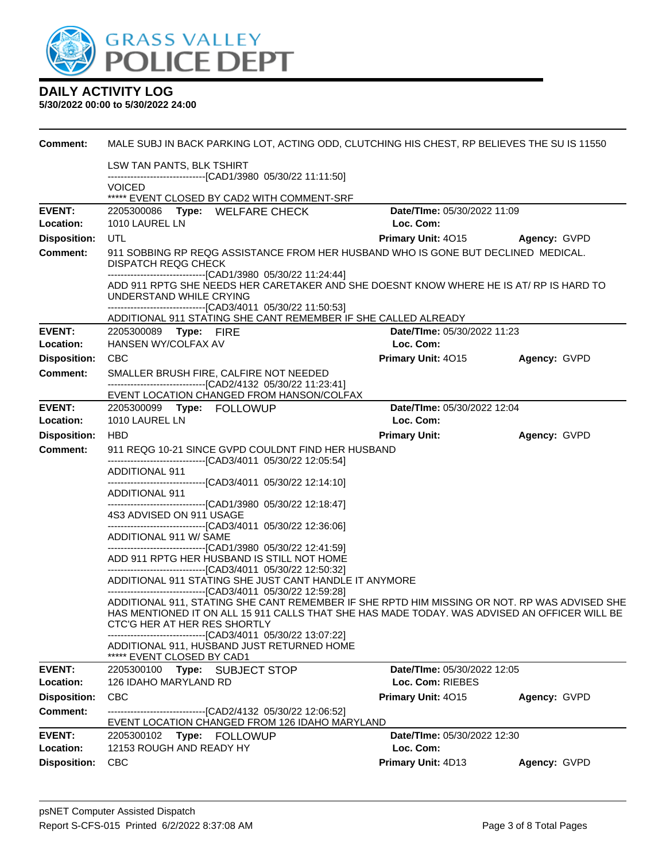

| Comment:                   | MALE SUBJ IN BACK PARKING LOT, ACTING ODD, CLUTCHING HIS CHEST, RP BELIEVES THE SU IS 11550                                                                  |                                          |              |
|----------------------------|--------------------------------------------------------------------------------------------------------------------------------------------------------------|------------------------------------------|--------------|
|                            | LSW TAN PANTS, BLK TSHIRT<br>-------------------------------[CAD1/3980 05/30/22 11:11:50]                                                                    |                                          |              |
|                            | <b>VOICED</b>                                                                                                                                                |                                          |              |
|                            | ***** EVENT CLOSED BY CAD2 WITH COMMENT-SRF                                                                                                                  |                                          |              |
| <b>EVENT:</b><br>Location: | 2205300086 Type: WELFARE CHECK<br>1010 LAUREL LN                                                                                                             | Date/TIme: 05/30/2022 11:09<br>Loc. Com: |              |
| <b>Disposition:</b>        | UTL                                                                                                                                                          | Primary Unit: 4015 Agency: GVPD          |              |
| <b>Comment:</b>            | 911 SOBBING RP REQG ASSISTANCE FROM HER HUSBAND WHO IS GONE BUT DECLINED MEDICAL.                                                                            |                                          |              |
|                            | <b>DISPATCH REQG CHECK</b>                                                                                                                                   |                                          |              |
|                            | -------------------------------[CAD1/3980 05/30/22 11:24:44]<br>ADD 911 RPTG SHE NEEDS HER CARETAKER AND SHE DOESNT KNOW WHERE HE IS AT/ RP IS HARD TO       |                                          |              |
|                            | UNDERSTAND WHILE CRYING                                                                                                                                      |                                          |              |
|                            | --------------------------------[CAD3/4011 05/30/22 11:50:53]                                                                                                |                                          |              |
| <b>EVENT:</b>              | ADDITIONAL 911 STATING SHE CANT REMEMBER IF SHE CALLED ALREADY<br>2205300089 Type: FIRE                                                                      | Date/TIme: 05/30/2022 11:23              |              |
| Location:                  | HANSEN WY/COLFAX AV                                                                                                                                          | Loc. Com:                                |              |
| <b>Disposition:</b>        | <b>CBC</b>                                                                                                                                                   | Primary Unit: 4015                       | Agency: GVPD |
| <b>Comment:</b>            | SMALLER BRUSH FIRE, CALFIRE NOT NEEDED                                                                                                                       |                                          |              |
|                            | -------------------------------[CAD2/4132 05/30/22 11:23:41]                                                                                                 |                                          |              |
| <b>EVENT:</b>              | EVENT LOCATION CHANGED FROM HANSON/COLFAX<br>2205300099 Type: FOLLOWUP                                                                                       | Date/TIme: 05/30/2022 12:04              |              |
| Location:                  | 1010 LAUREL LN                                                                                                                                               | Loc. Com:                                |              |
| <b>Disposition:</b>        | <b>HBD</b>                                                                                                                                                   | <b>Primary Unit:</b>                     | Agency: GVPD |
| <b>Comment:</b>            | 911 REQG 10-21 SINCE GVPD COULDNT FIND HER HUSBAND                                                                                                           |                                          |              |
|                            | ------------------------------[CAD3/4011 05/30/22 12:05:54]                                                                                                  |                                          |              |
|                            | ADDITIONAL 911<br>-------------------------------[CAD3/4011 05/30/22 12:14:10]                                                                               |                                          |              |
|                            | ADDITIONAL 911                                                                                                                                               |                                          |              |
|                            | -------------------------------[CAD1/3980 05/30/22 12:18:47]<br>4S3 ADVISED ON 911 USAGE                                                                     |                                          |              |
|                            | --------------------------------[CAD3/4011 05/30/22 12:36:06]                                                                                                |                                          |              |
|                            | ADDITIONAL 911 W/ SAME                                                                                                                                       |                                          |              |
|                            | -------------------------------[CAD1/3980_05/30/22 12:41:59]<br>ADD 911 RPTG HER HUSBAND IS STILL NOT HOME                                                   |                                          |              |
|                            | -------------------------------[CAD3/4011 05/30/22 12:50:32]                                                                                                 |                                          |              |
|                            | ADDITIONAL 911 STATING SHE JUST CANT HANDLE IT ANYMORE                                                                                                       |                                          |              |
|                            | -------------------------------[CAD3/4011 05/30/22 12:59:28]<br>ADDITIONAL 911, STATING SHE CANT REMEMBER IF SHE RPTD HIM MISSING OR NOT. RP WAS ADVISED SHE |                                          |              |
|                            | HAS MENTIONED IT ON ALL 15 911 CALLS THAT SHE HAS MADE TODAY. WAS ADVISED AN OFFICER WILL BE                                                                 |                                          |              |
|                            | CTC'G HER AT HER RES SHORTLY<br>-------------------------------[CAD3/4011_05/30/22 13:07:22]                                                                 |                                          |              |
|                            | ADDITIONAL 911, HUSBAND JUST RETURNED HOME<br>***** EVENT CLOSED BY CAD1                                                                                     |                                          |              |
| <b>EVENT:</b>              | 2205300100<br>Type: SUBJECT STOP                                                                                                                             | Date/TIme: 05/30/2022 12:05              |              |
| Location:                  | 126 IDAHO MARYLAND RD                                                                                                                                        | Loc. Com: RIEBES                         |              |
| <b>Disposition:</b>        | <b>CBC</b>                                                                                                                                                   | Primary Unit: 4015                       | Agency: GVPD |
| Comment:                   | ---------------------------------[CAD2/4132 05/30/22 12:06:52]<br>EVENT LOCATION CHANGED FROM 126 IDAHO MARYLAND                                             |                                          |              |
| <b>EVENT:</b>              | 2205300102<br><b>Type: FOLLOWUP</b>                                                                                                                          | Date/TIme: 05/30/2022 12:30              |              |
| Location:                  | 12153 ROUGH AND READY HY                                                                                                                                     | Loc. Com:                                |              |
| <b>Disposition:</b>        | <b>CBC</b>                                                                                                                                                   | Primary Unit: 4D13                       | Agency: GVPD |
|                            |                                                                                                                                                              |                                          |              |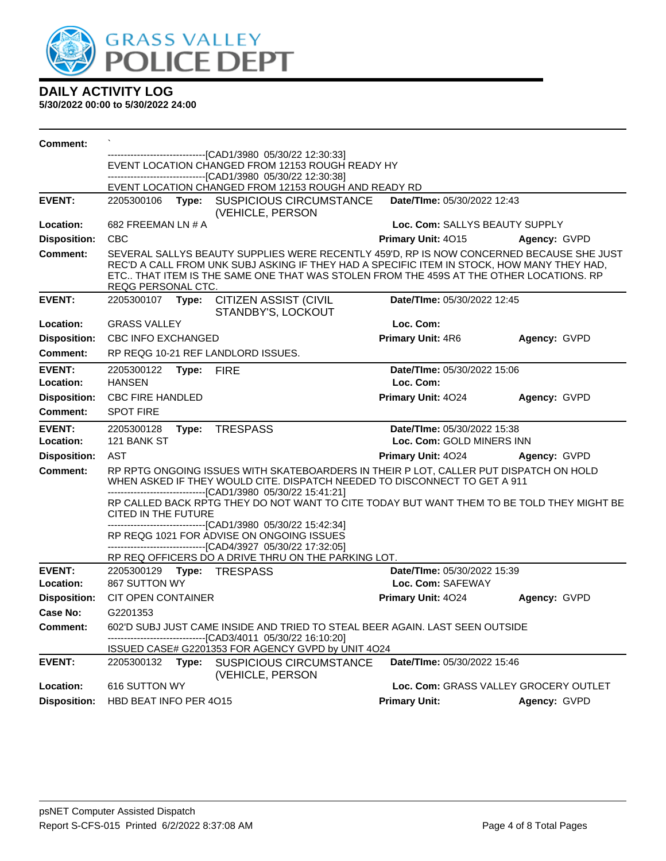

| Comment:                   |                                                                                                        |       |                                                                                                                                                                                                                                                                                  |                                                  |                                       |
|----------------------------|--------------------------------------------------------------------------------------------------------|-------|----------------------------------------------------------------------------------------------------------------------------------------------------------------------------------------------------------------------------------------------------------------------------------|--------------------------------------------------|---------------------------------------|
|                            | ---------------------[CAD1/3980_05/30/22 12:30:33]<br>EVENT LOCATION CHANGED FROM 12153 ROUGH READY HY |       |                                                                                                                                                                                                                                                                                  |                                                  |                                       |
|                            |                                                                                                        |       | ---------------------------[CAD1/3980_05/30/22_12:30:38]                                                                                                                                                                                                                         |                                                  |                                       |
|                            |                                                                                                        |       | EVENT LOCATION CHANGED FROM 12153 ROUGH AND READY RD                                                                                                                                                                                                                             |                                                  |                                       |
| <b>EVENT:</b>              | 2205300106                                                                                             |       | Type: SUSPICIOUS CIRCUMSTANCE<br>(VEHICLE, PERSON                                                                                                                                                                                                                                | Date/TIme: 05/30/2022 12:43                      |                                       |
| Location:                  | 682 FREEMAN LN # A                                                                                     |       |                                                                                                                                                                                                                                                                                  | Loc. Com: SALLYS BEAUTY SUPPLY                   |                                       |
| <b>Disposition:</b>        | <b>CBC</b>                                                                                             |       |                                                                                                                                                                                                                                                                                  | <b>Primary Unit: 4015</b>                        | Agency: GVPD                          |
| <b>Comment:</b>            | REQG PERSONAL CTC.                                                                                     |       | SEVERAL SALLYS BEAUTY SUPPLIES WERE RECENTLY 459'D, RP IS NOW CONCERNED BECAUSE SHE JUST<br>REC'D A CALL FROM UNK SUBJ ASKING IF THEY HAD A SPECIFIC ITEM IN STOCK, HOW MANY THEY HAD,<br>ETC THAT ITEM IS THE SAME ONE THAT WAS STOLEN FROM THE 459S AT THE OTHER LOCATIONS. RP |                                                  |                                       |
| <b>EVENT:</b>              | 2205300107 Type:                                                                                       |       | <b>CITIZEN ASSIST (CIVIL</b><br>STANDBY'S, LOCKOUT                                                                                                                                                                                                                               | Date/TIme: 05/30/2022 12:45                      |                                       |
| Location:                  | <b>GRASS VALLEY</b>                                                                                    |       |                                                                                                                                                                                                                                                                                  | Loc. Com:                                        |                                       |
| <b>Disposition:</b>        | CBC INFO EXCHANGED                                                                                     |       |                                                                                                                                                                                                                                                                                  | <b>Primary Unit: 4R6</b>                         | Agency: GVPD                          |
| Comment:                   |                                                                                                        |       | RP REQG 10-21 REF LANDLORD ISSUES.                                                                                                                                                                                                                                               |                                                  |                                       |
| <b>EVENT:</b>              | 2205300122                                                                                             | Type: | <b>FIRE</b>                                                                                                                                                                                                                                                                      | Date/TIme: 05/30/2022 15:06                      |                                       |
| Location:                  | <b>HANSEN</b>                                                                                          |       |                                                                                                                                                                                                                                                                                  | Loc. Com:                                        |                                       |
| <b>Disposition:</b>        | <b>CBC FIRE HANDLED</b>                                                                                |       |                                                                                                                                                                                                                                                                                  | Primary Unit: 4024                               | Agency: GVPD                          |
| <b>Comment:</b>            | <b>SPOT FIRE</b>                                                                                       |       |                                                                                                                                                                                                                                                                                  |                                                  |                                       |
|                            |                                                                                                        |       |                                                                                                                                                                                                                                                                                  |                                                  |                                       |
| <b>EVENT:</b>              | 2205300128                                                                                             |       | Type: TRESPASS                                                                                                                                                                                                                                                                   | Date/TIme: 05/30/2022 15:38                      |                                       |
| Location:                  | 121 BANK ST                                                                                            |       |                                                                                                                                                                                                                                                                                  | Loc. Com: GOLD MINERS INN                        |                                       |
| <b>Disposition:</b>        | AST                                                                                                    |       |                                                                                                                                                                                                                                                                                  | <b>Primary Unit: 4024</b>                        | Agency: GVPD                          |
| <b>Comment:</b>            |                                                                                                        |       | RP RPTG ONGOING ISSUES WITH SKATEBOARDERS IN THEIR P LOT, CALLER PUT DISPATCH ON HOLD<br>WHEN ASKED IF THEY WOULD CITE. DISPATCH NEEDED TO DISCONNECT TO GET A 911                                                                                                               |                                                  |                                       |
|                            | CITED IN THE FUTURE                                                                                    |       | -------------------------------[CAD1/3980 05/30/22 15:41:21]<br>RP CALLED BACK RPTG THEY DO NOT WANT TO CITE TODAY BUT WANT THEM TO BE TOLD THEY MIGHT BE                                                                                                                        |                                                  |                                       |
|                            |                                                                                                        |       | ------------------------------[CAD1/3980_05/30/22 15:42:34]<br>RP REQG 1021 FOR ADVISE ON ONGOING ISSUES<br>-------------------------------[CAD4/3927 05/30/22 17:32:05]                                                                                                         |                                                  |                                       |
|                            |                                                                                                        |       | RP REQ OFFICERS DO A DRIVE THRU ON THE PARKING LOT.                                                                                                                                                                                                                              |                                                  |                                       |
| <b>EVENT:</b><br>Location: | 867 SUTTON WY                                                                                          |       | 2205300129    Type: TRESPASS                                                                                                                                                                                                                                                     | Date/TIme: 05/30/2022 15:39<br>Loc. Com: SAFEWAY |                                       |
| <b>Disposition:</b>        | CIT OPEN CONTAINER                                                                                     |       |                                                                                                                                                                                                                                                                                  | Primary Unit: 4024                               | Agency: GVPD                          |
| <b>Case No:</b>            | G2201353                                                                                               |       |                                                                                                                                                                                                                                                                                  |                                                  |                                       |
| <b>Comment:</b>            |                                                                                                        |       | 602'D SUBJ JUST CAME INSIDE AND TRIED TO STEAL BEER AGAIN. LAST SEEN OUTSIDE                                                                                                                                                                                                     |                                                  |                                       |
|                            |                                                                                                        |       | --[CAD3/4011 05/30/22 16:10:20]<br>ISSUED CASE# G2201353 FOR AGENCY GVPD by UNIT 4024                                                                                                                                                                                            |                                                  |                                       |
| <b>EVENT:</b>              | 2205300132                                                                                             | Type: | <b>SUSPICIOUS CIRCUMSTANCE</b><br>(VEHICLE, PERSON                                                                                                                                                                                                                               | Date/TIme: 05/30/2022 15:46                      |                                       |
| Location:                  | 616 SUTTON WY<br>HBD BEAT INFO PER 4015                                                                |       |                                                                                                                                                                                                                                                                                  |                                                  | Loc. Com: GRASS VALLEY GROCERY OUTLET |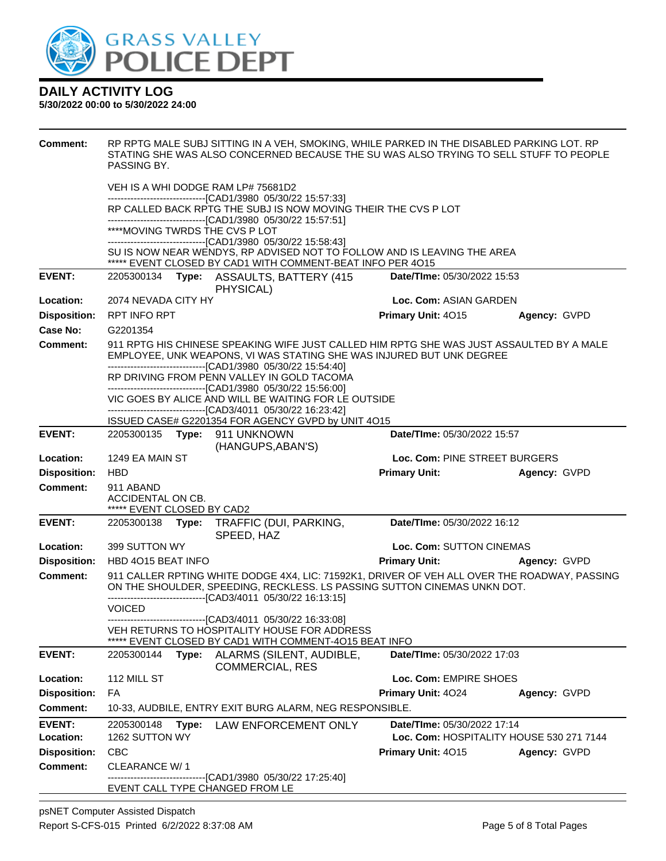

| <b>Comment:</b>     | RP RPTG MALE SUBJ SITTING IN A VEH, SMOKING, WHILE PARKED IN THE DISABLED PARKING LOT. RP<br>STATING SHE WAS ALSO CONCERNED BECAUSE THE SU WAS ALSO TRYING TO SELL STUFF TO PEOPLE<br>PASSING BY.                                 |                                    |                                          |
|---------------------|-----------------------------------------------------------------------------------------------------------------------------------------------------------------------------------------------------------------------------------|------------------------------------|------------------------------------------|
|                     | VEH IS A WHI DODGE RAM LP# 75681D2                                                                                                                                                                                                |                                    |                                          |
|                     | ---------------------------------[CAD1/3980 05/30/22 15:57:33]<br>RP CALLED BACK RPTG THE SUBJ IS NOW MOVING THEIR THE CVS P LOT                                                                                                  |                                    |                                          |
|                     | -------------------------------[CAD1/3980 05/30/22 15:57:51]                                                                                                                                                                      |                                    |                                          |
|                     | ****MOVING TWRDS THE CVS P LOT<br>----------------------------------[CAD1/3980 05/30/22 15:58:43]                                                                                                                                 |                                    |                                          |
|                     | SU IS NOW NEAR WENDYS, RP ADVISED NOT TO FOLLOW AND IS LEAVING THE AREA                                                                                                                                                           |                                    |                                          |
|                     | ***** EVENT CLOSED BY CAD1 WITH COMMENT-BEAT INFO PER 4015                                                                                                                                                                        |                                    |                                          |
| <b>EVENT:</b>       | 2205300134<br>Type: ASSAULTS, BATTERY (415)<br>PHYSICAL)                                                                                                                                                                          | Date/TIme: 05/30/2022 15:53        |                                          |
| Location:           | 2074 NEVADA CITY HY                                                                                                                                                                                                               | Loc. Com: ASIAN GARDEN             |                                          |
| <b>Disposition:</b> | RPT INFO RPT                                                                                                                                                                                                                      | Primary Unit: 4015                 | Agency: GVPD                             |
| Case No:            | G2201354                                                                                                                                                                                                                          |                                    |                                          |
| <b>Comment:</b>     | 911 RPTG HIS CHINESE SPEAKING WIFE JUST CALLED HIM RPTG SHE WAS JUST ASSAULTED BY A MALE<br>EMPLOYEE, UNK WEAPONS, VI WAS STATING SHE WAS INJURED BUT UNK DEGREE<br>--------------------------------[CAD1/3980 05/30/22 15:54:40] |                                    |                                          |
|                     | RP DRIVING FROM PENN VALLEY IN GOLD TACOMA<br>--------------------------------[CAD1/3980 05/30/22 15:56:00]                                                                                                                       |                                    |                                          |
|                     | VIC GOES BY ALICE AND WILL BE WAITING FOR LE OUTSIDE                                                                                                                                                                              |                                    |                                          |
|                     | -------------------------------[CAD3/4011 05/30/22 16:23:42]                                                                                                                                                                      |                                    |                                          |
| <b>EVENT:</b>       | ISSUED CASE# G2201354 FOR AGENCY GVPD by UNIT 4O15<br>2205300135 Type: 911 UNKNOWN                                                                                                                                                | Date/TIme: 05/30/2022 15:57        |                                          |
|                     | (HANGUPS, ABAN'S)                                                                                                                                                                                                                 |                                    |                                          |
| Location:           | 1249 EA MAIN ST                                                                                                                                                                                                                   | Loc. Com: PINE STREET BURGERS      |                                          |
| <b>Disposition:</b> | <b>HBD</b>                                                                                                                                                                                                                        | <b>Primary Unit:</b>               | Agency: GVPD                             |
| <b>Comment:</b>     | 911 ABAND<br>ACCIDENTAL ON CB.                                                                                                                                                                                                    |                                    |                                          |
|                     | ***** EVENT CLOSED BY CAD2                                                                                                                                                                                                        |                                    |                                          |
| <b>EVENT:</b>       | 2205300138<br>Type:<br>TRAFFIC (DUI, PARKING,<br>SPEED, HAZ                                                                                                                                                                       | Date/TIme: 05/30/2022 16:12        |                                          |
| Location:           | 399 SUTTON WY                                                                                                                                                                                                                     | Loc. Com: SUTTON CINEMAS           |                                          |
| <b>Disposition:</b> | HBD 4015 BEAT INFO                                                                                                                                                                                                                | <b>Primary Unit:</b>               | Agency: GVPD                             |
| <b>Comment:</b>     | 911 CALLER RPTING WHITE DODGE 4X4, LIC: 71592K1, DRIVER OF VEH ALL OVER THE ROADWAY, PASSING<br>ON THE SHOULDER, SPEEDING, RECKLESS. LS PASSING SUTTON CINEMAS UNKN DOT.                                                          |                                    |                                          |
|                     | <b>VOICED</b>                                                                                                                                                                                                                     |                                    |                                          |
|                     | ------------------------------[CAD3/4011 05/30/22 16:33:08]<br>VEH RETURNS TO HOSPITALITY HOUSE FOR ADDRESS<br>EVENT CLOSED BY CAD1 WITH COMMENT-4015 BEAT INFO                                                                   |                                    |                                          |
| <b>EVENT:</b>       | ALARMS (SILENT, AUDIBLE,<br>2205300144<br>Type:<br><b>COMMERCIAL, RES</b>                                                                                                                                                         | <b>Date/Time: 05/30/2022 17:03</b> |                                          |
| Location:           | 112 MILL ST                                                                                                                                                                                                                       | Loc. Com: EMPIRE SHOES             |                                          |
| <b>Disposition:</b> | FA                                                                                                                                                                                                                                | Primary Unit: 4024                 | Agency: GVPD                             |
| <b>Comment:</b>     | 10-33, AUDBILE, ENTRY EXIT BURG ALARM, NEG RESPONSIBLE.                                                                                                                                                                           |                                    |                                          |
| <b>EVENT:</b>       | 2205300148<br>Type:<br>LAW ENFORCEMENT ONLY                                                                                                                                                                                       | Date/TIme: 05/30/2022 17:14        |                                          |
| Location:           | 1262 SUTTON WY                                                                                                                                                                                                                    |                                    | Loc. Com: HOSPITALITY HOUSE 530 271 7144 |
| <b>Disposition:</b> | <b>CBC</b>                                                                                                                                                                                                                        | Primary Unit: 4015                 | Agency: GVPD                             |
| <b>Comment:</b>     | CLEARANCE W/1<br>--[CAD1/3980 05/30/22 17:25:40]                                                                                                                                                                                  |                                    |                                          |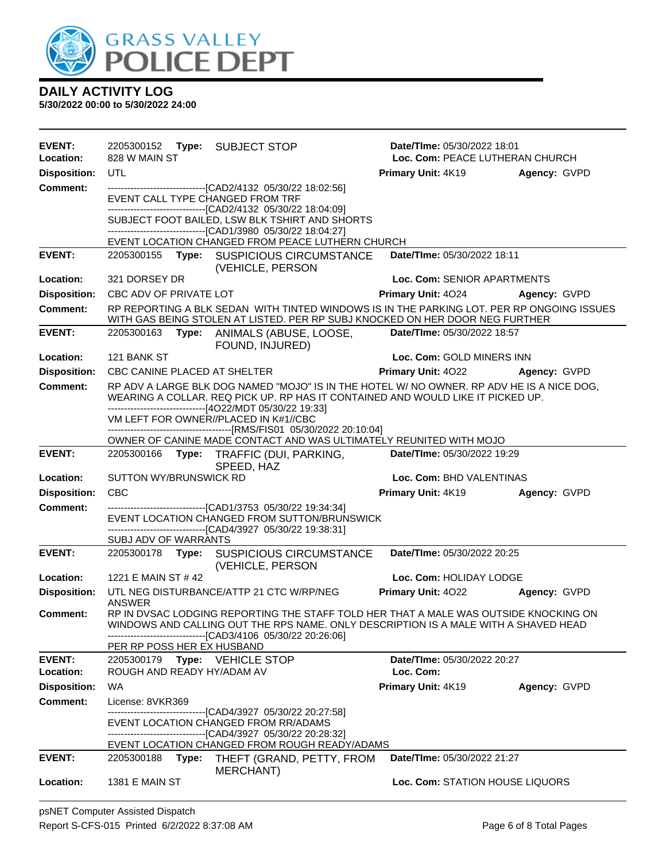

| EVENT:<br>Location: | 2205300152<br>828 W MAIN ST      | Type: SUBJECT STOP                                                                                                                                                                                                                          | <b>Date/Time: 05/30/2022 18:01</b><br>Loc. Com: PEACE LUTHERAN CHURCH |              |
|---------------------|----------------------------------|---------------------------------------------------------------------------------------------------------------------------------------------------------------------------------------------------------------------------------------------|-----------------------------------------------------------------------|--------------|
| <b>Disposition:</b> | <b>UTL</b>                       |                                                                                                                                                                                                                                             | Primary Unit: 4K19                                                    | Agency: GVPD |
| <b>Comment:</b>     |                                  | ---------------------------------[CAD2/4132 05/30/22 18:02:56]                                                                                                                                                                              |                                                                       |              |
|                     | EVENT CALL TYPE CHANGED FROM TRF |                                                                                                                                                                                                                                             |                                                                       |              |
|                     |                                  | ---------------------[CAD2/4132 05/30/22 18:04:09]                                                                                                                                                                                          |                                                                       |              |
|                     |                                  | SUBJECT FOOT BAILED, LSW BLK TSHIRT AND SHORTS                                                                                                                                                                                              |                                                                       |              |
|                     |                                  | ---------------------[CAD1/3980 05/30/22 18:04:27]<br>EVENT LOCATION CHANGED FROM PEACE LUTHERN CHURCH                                                                                                                                      |                                                                       |              |
| <b>EVENT:</b>       |                                  | 2205300155 Type: SUSPICIOUS CIRCUMSTANCE<br>(VEHICLE, PERSON                                                                                                                                                                                | Date/TIme: 05/30/2022 18:11                                           |              |
| Location:           | 321 DORSEY DR                    |                                                                                                                                                                                                                                             | Loc. Com: SENIOR APARTMENTS                                           |              |
| <b>Disposition:</b> | CBC ADV OF PRIVATE LOT           |                                                                                                                                                                                                                                             | <b>Primary Unit: 4024</b>                                             | Agency: GVPD |
| <b>Comment:</b>     |                                  | RP REPORTING A BLK SEDAN WITH TINTED WINDOWS IS IN THE PARKING LOT. PER RP ONGOING ISSUES<br>WITH GAS BEING STOLEN AT LISTED. PER RP SUBJ KNOCKED ON HER DOOR NEG FURTHER                                                                   |                                                                       |              |
| <b>EVENT:</b>       | 2205300163                       | Type: ANIMALS (ABUSE, LOOSE,<br>FOUND, INJURED)                                                                                                                                                                                             | Date/TIme: 05/30/2022 18:57                                           |              |
| Location:           | 121 BANK ST                      |                                                                                                                                                                                                                                             | Loc. Com: GOLD MINERS INN                                             |              |
| <b>Disposition:</b> | CBC CANINE PLACED AT SHELTER     |                                                                                                                                                                                                                                             | <b>Primary Unit: 4022</b>                                             | Agency: GVPD |
| <b>Comment:</b>     |                                  | RP ADV A LARGE BLK DOG NAMED "MOJO" IS IN THE HOTEL W/ NO OWNER. RP ADV HE IS A NICE DOG,<br>WEARING A COLLAR. REQ PICK UP. RP HAS IT CONTAINED AND WOULD LIKE IT PICKED UP.<br>--------------------------------[4O22/MDT 05/30/22 19:33]   |                                                                       |              |
|                     |                                  | VM LEFT FOR OWNER//PLACED IN K#1//CBC                                                                                                                                                                                                       |                                                                       |              |
|                     |                                  |                                                                                                                                                                                                                                             |                                                                       |              |
|                     |                                  | OWNER OF CANINE MADE CONTACT AND WAS ULTIMATELY REUNITED WITH MOJO                                                                                                                                                                          |                                                                       |              |
| <b>EVENT:</b>       | 2205300166                       | Type: TRAFFIC (DUI, PARKING,<br>SPEED, HAZ                                                                                                                                                                                                  | Date/TIme: 05/30/2022 19:29                                           |              |
| Location:           | <b>SUTTON WY/BRUNSWICK RD</b>    |                                                                                                                                                                                                                                             | Loc. Com: BHD VALENTINAS                                              |              |
| <b>Disposition:</b> | <b>CBC</b>                       |                                                                                                                                                                                                                                             | Primary Unit: 4K19                                                    | Agency: GVPD |
| <b>Comment:</b>     |                                  | ---------------------------[CAD1/3753 05/30/22 19:34:34]                                                                                                                                                                                    |                                                                       |              |
|                     |                                  | EVENT LOCATION CHANGED FROM SUTTON/BRUNSWICK<br>-----------------------[CAD4/3927  05/30/22 19:38:31]                                                                                                                                       |                                                                       |              |
|                     | SUBJ ADV OF WARRANTS             |                                                                                                                                                                                                                                             |                                                                       |              |
| <b>EVENT:</b>       | 2205300178 Type:                 | <b>SUSPICIOUS CIRCUMSTANCE</b><br>(VEHICLE, PERSON                                                                                                                                                                                          | Date/TIme: 05/30/2022 20:25                                           |              |
| Location:           | 1221 E MAIN ST # 42              |                                                                                                                                                                                                                                             | Loc. Com: HOLIDAY LODGE                                               |              |
| <b>Disposition:</b> | ANSWER                           | UTL NEG DISTURBANCE/ATTP 21 CTC W/RP/NEG                                                                                                                                                                                                    | Primary Unit: 4022                                                    | Agency: GVPD |
| Comment:            |                                  | RP IN DVSAC LODGING REPORTING THE STAFF TOLD HER THAT A MALE WAS OUTSIDE KNOCKING ON<br>WINDOWS AND CALLING OUT THE RPS NAME. ONLY DESCRIPTION IS A MALE WITH A SHAVED HEAD<br>-------------------------------[CAD3/4106 05/30/22 20:26:06] |                                                                       |              |
|                     | PER RP POSS HER EX HUSBAND       |                                                                                                                                                                                                                                             |                                                                       |              |
| <b>EVENT:</b>       | 2205300179 Type: VEHICLE STOP    |                                                                                                                                                                                                                                             | Date/TIme: 05/30/2022 20:27                                           |              |
| Location:           | ROUGH AND READY HY/ADAM AV       |                                                                                                                                                                                                                                             | Loc. Com:                                                             |              |
| <b>Disposition:</b> | WA                               |                                                                                                                                                                                                                                             | Primary Unit: 4K19                                                    | Agency: GVPD |
| <b>Comment:</b>     | License: 8VKR369                 |                                                                                                                                                                                                                                             |                                                                       |              |
|                     |                                  | --------------------------[CAD4/3927_05/30/22 20:27:58]<br>EVENT LOCATION CHANGED FROM RR/ADAMS<br>--------------------------------[CAD4/3927 05/30/22 20:28:32]                                                                            |                                                                       |              |
|                     |                                  | EVENT LOCATION CHANGED FROM ROUGH READY/ADAMS                                                                                                                                                                                               |                                                                       |              |
| <b>EVENT:</b>       | 2205300188                       | Type: THEFT (GRAND, PETTY, FROM<br><b>MERCHANT)</b>                                                                                                                                                                                         | Date/TIme: 05/30/2022 21:27                                           |              |
| Location:           | <b>1381 E MAIN ST</b>            |                                                                                                                                                                                                                                             | Loc. Com: STATION HOUSE LIQUORS                                       |              |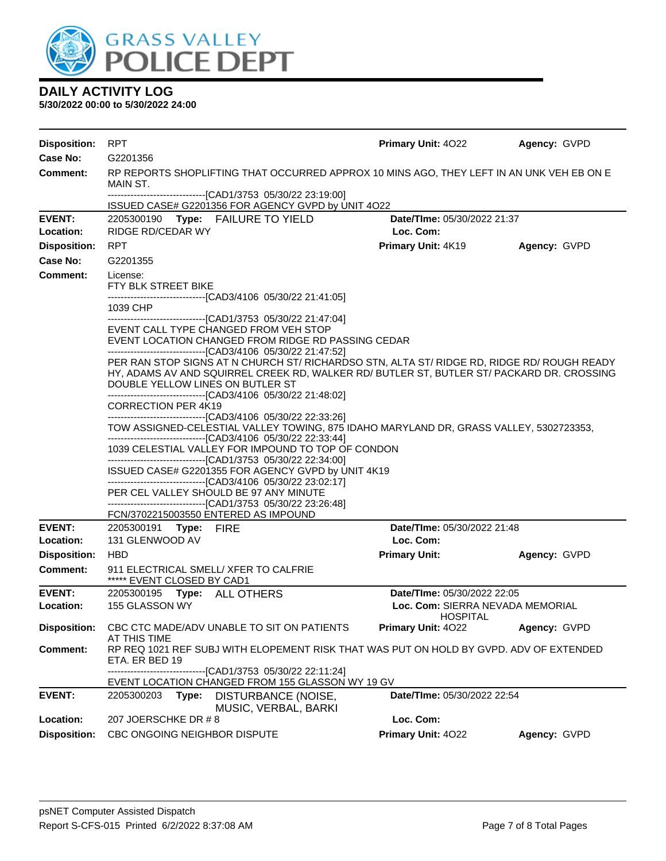

| <b>Disposition:</b> | <b>RPT</b>                                                                                                                                                                                                                                                                                  | Primary Unit: 4022                                  | Agency: GVPD |
|---------------------|---------------------------------------------------------------------------------------------------------------------------------------------------------------------------------------------------------------------------------------------------------------------------------------------|-----------------------------------------------------|--------------|
| Case No:            | G2201356                                                                                                                                                                                                                                                                                    |                                                     |              |
| Comment:            | RP REPORTS SHOPLIFTING THAT OCCURRED APPROX 10 MINS AGO, THEY LEFT IN AN UNK VEH EB ON E<br>MAIN ST.                                                                                                                                                                                        |                                                     |              |
|                     | ---------------------------------[CAD1/3753 05/30/22 23:19:00]<br>ISSUED CASE# G2201356 FOR AGENCY GVPD by UNIT 4O22                                                                                                                                                                        |                                                     |              |
| <b>EVENT:</b>       | 2205300190 Type: FAILURE TO YIELD                                                                                                                                                                                                                                                           | Date/TIme: 05/30/2022 21:37                         |              |
| Location:           | RIDGE RD/CEDAR WY                                                                                                                                                                                                                                                                           | Loc. Com:                                           |              |
| <b>Disposition:</b> | <b>RPT</b>                                                                                                                                                                                                                                                                                  | Primary Unit: 4K19                                  | Agency: GVPD |
| <b>Case No:</b>     | G2201355                                                                                                                                                                                                                                                                                    |                                                     |              |
| <b>Comment:</b>     | License:<br>FTY BLK STREET BIKE                                                                                                                                                                                                                                                             |                                                     |              |
|                     | -------------------------------[CAD3/4106 05/30/22 21:41:05]<br>1039 CHP<br>-------------------------------[CAD1/3753 05/30/22 21:47:04]                                                                                                                                                    |                                                     |              |
|                     | EVENT CALL TYPE CHANGED FROM VEH STOP<br>EVENT LOCATION CHANGED FROM RIDGE RD PASSING CEDAR                                                                                                                                                                                                 |                                                     |              |
|                     | -------------------------------[CAD3/4106 05/30/22 21:47:52]<br>PER RAN STOP SIGNS AT N CHURCH ST/ RICHARDSO STN, ALTA ST/ RIDGE RD, RIDGE RD/ ROUGH READY<br>HY, ADAMS AV AND SQUIRREL CREEK RD, WALKER RD/ BUTLER ST, BUTLER ST/ PACKARD DR. CROSSING<br>DOUBLE YELLOW LINES ON BUTLER ST |                                                     |              |
|                     | -------------------------------[CAD3/4106 05/30/22 21:48:02]<br><b>CORRECTION PER 4K19</b><br>---------------------------------[CAD3/4106 05/30/22 22:33:26]                                                                                                                                |                                                     |              |
|                     | TOW ASSIGNED-CELESTIAL VALLEY TOWING, 875 IDAHO MARYLAND DR, GRASS VALLEY, 5302723353,<br>-------------------------------[CAD3/4106 05/30/22 22:33:44]                                                                                                                                      |                                                     |              |
|                     | 1039 CELESTIAL VALLEY FOR IMPOUND TO TOP OF CONDON                                                                                                                                                                                                                                          |                                                     |              |
|                     | -------------------------------[CAD1/3753 05/30/22 22:34:00]<br>ISSUED CASE# G2201355 FOR AGENCY GVPD by UNIT 4K19                                                                                                                                                                          |                                                     |              |
|                     | -------------------------------[CAD3/4106 05/30/22 23:02:17]                                                                                                                                                                                                                                |                                                     |              |
|                     | PER CEL VALLEY SHOULD BE 97 ANY MINUTE<br>-------------------------------[CAD1/3753 05/30/22 23:26:48]                                                                                                                                                                                      |                                                     |              |
|                     | FCN/3702215003550 ENTERED AS IMPOUND                                                                                                                                                                                                                                                        |                                                     |              |
| <b>EVENT:</b>       | 2205300191 Type: FIRE                                                                                                                                                                                                                                                                       | Date/TIme: 05/30/2022 21:48                         |              |
| Location:           | 131 GLENWOOD AV                                                                                                                                                                                                                                                                             | Loc. Com:                                           |              |
| <b>Disposition:</b> | <b>HBD</b>                                                                                                                                                                                                                                                                                  | <b>Primary Unit:</b>                                | Agency: GVPD |
| <b>Comment:</b>     | 911 ELECTRICAL SMELL/ XFER TO CALFRIE<br>***** EVENT CLOSED BY CAD1                                                                                                                                                                                                                         |                                                     |              |
| <b>EVENT:</b>       | 2205300195 Type: ALL OTHERS                                                                                                                                                                                                                                                                 | Date/TIme: 05/30/2022 22:05                         |              |
| Location:           | 155 GLASSON WY                                                                                                                                                                                                                                                                              | Loc. Com: SIERRA NEVADA MEMORIAL<br><b>HOSPITAL</b> |              |
| <b>Disposition:</b> | CBC CTC MADE/ADV UNABLE TO SIT ON PATIENTS<br>AT THIS TIME                                                                                                                                                                                                                                  | Primary Unit: 4022                                  | Agency: GVPD |
| <b>Comment:</b>     | RP REQ 1021 REF SUBJ WITH ELOPEMENT RISK THAT WAS PUT ON HOLD BY GVPD. ADV OF EXTENDED<br>ETA. ER BED 19                                                                                                                                                                                    |                                                     |              |
|                     | --------------------------[CAD1/3753_05/30/22 22:11:24]<br>EVENT LOCATION CHANGED FROM 155 GLASSON WY 19 GV                                                                                                                                                                                 |                                                     |              |
| <b>EVENT:</b>       | 2205300203 Type:<br><b>DISTURBANCE (NOISE,</b><br>MUSIC, VERBAL, BARKI                                                                                                                                                                                                                      | Date/TIme: 05/30/2022 22:54                         |              |
| Location:           | 207 JOERSCHKE DR #8                                                                                                                                                                                                                                                                         | Loc. Com:                                           |              |
| <b>Disposition:</b> | CBC ONGOING NEIGHBOR DISPUTE                                                                                                                                                                                                                                                                | Primary Unit: 4022                                  | Agency: GVPD |